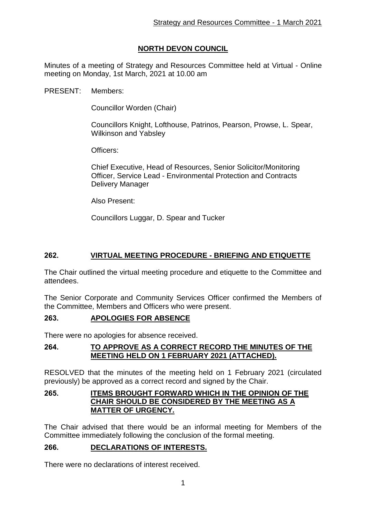# **NORTH DEVON COUNCIL**

Minutes of a meeting of Strategy and Resources Committee held at Virtual - Online meeting on Monday, 1st March, 2021 at 10.00 am

PRESENT: Members:

Councillor Worden (Chair)

Councillors Knight, Lofthouse, Patrinos, Pearson, Prowse, L. Spear, Wilkinson and Yabsley

Officers:

Chief Executive, Head of Resources, Senior Solicitor/Monitoring Officer, Service Lead - Environmental Protection and Contracts Delivery Manager

Also Present:

Councillors Luggar, D. Spear and Tucker

## **262. VIRTUAL MEETING PROCEDURE - BRIEFING AND ETIQUETTE**

The Chair outlined the virtual meeting procedure and etiquette to the Committee and attendees.

The Senior Corporate and Community Services Officer confirmed the Members of the Committee, Members and Officers who were present.

#### **263. APOLOGIES FOR ABSENCE**

There were no apologies for absence received.

#### **264. TO APPROVE AS A CORRECT RECORD THE MINUTES OF THE MEETING HELD ON 1 FEBRUARY 2021 (ATTACHED).**

RESOLVED that the minutes of the meeting held on 1 February 2021 (circulated previously) be approved as a correct record and signed by the Chair.

#### **265. ITEMS BROUGHT FORWARD WHICH IN THE OPINION OF THE CHAIR SHOULD BE CONSIDERED BY THE MEETING AS A MATTER OF URGENCY.**

The Chair advised that there would be an informal meeting for Members of the Committee immediately following the conclusion of the formal meeting.

#### **266. DECLARATIONS OF INTERESTS.**

There were no declarations of interest received.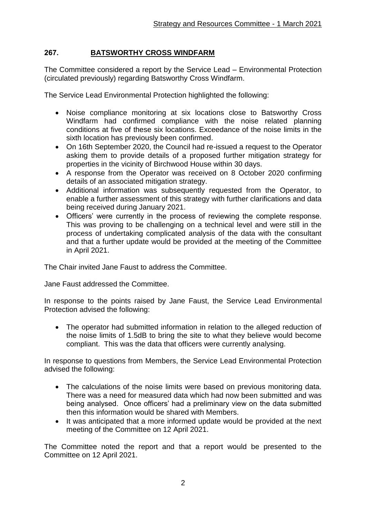## **267. BATSWORTHY CROSS WINDFARM**

The Committee considered a report by the Service Lead – Environmental Protection (circulated previously) regarding Batsworthy Cross Windfarm.

The Service Lead Environmental Protection highlighted the following:

- Noise compliance monitoring at six locations close to Batsworthy Cross Windfarm had confirmed compliance with the noise related planning conditions at five of these six locations. Exceedance of the noise limits in the sixth location has previously been confirmed.
- On 16th September 2020, the Council had re-issued a request to the Operator asking them to provide details of a proposed further mitigation strategy for properties in the vicinity of Birchwood House within 30 days.
- A response from the Operator was received on 8 October 2020 confirming details of an associated mitigation strategy.
- Additional information was subsequently requested from the Operator, to enable a further assessment of this strategy with further clarifications and data being received during January 2021.
- Officers' were currently in the process of reviewing the complete response. This was proving to be challenging on a technical level and were still in the process of undertaking complicated analysis of the data with the consultant and that a further update would be provided at the meeting of the Committee in April 2021.

The Chair invited Jane Faust to address the Committee.

Jane Faust addressed the Committee.

In response to the points raised by Jane Faust, the Service Lead Environmental Protection advised the following:

 The operator had submitted information in relation to the alleged reduction of the noise limits of 1.5dB to bring the site to what they believe would become compliant. This was the data that officers were currently analysing.

In response to questions from Members, the Service Lead Environmental Protection advised the following:

- The calculations of the noise limits were based on previous monitoring data. There was a need for measured data which had now been submitted and was being analysed. Once officers' had a preliminary view on the data submitted then this information would be shared with Members.
- It was anticipated that a more informed update would be provided at the next meeting of the Committee on 12 April 2021.

The Committee noted the report and that a report would be presented to the Committee on 12 April 2021.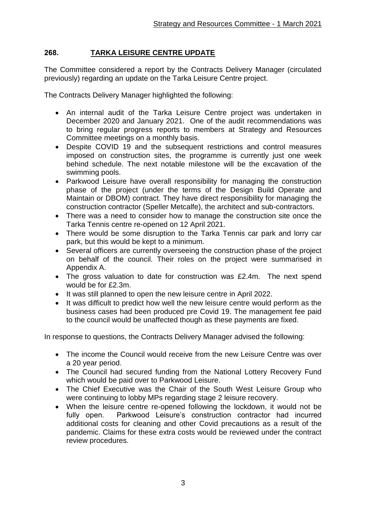## **268. TARKA LEISURE CENTRE UPDATE**

The Committee considered a report by the Contracts Delivery Manager (circulated previously) regarding an update on the Tarka Leisure Centre project.

The Contracts Delivery Manager highlighted the following:

- An internal audit of the Tarka Leisure Centre project was undertaken in December 2020 and January 2021. One of the audit recommendations was to bring regular progress reports to members at Strategy and Resources Committee meetings on a monthly basis.
- Despite COVID 19 and the subsequent restrictions and control measures imposed on construction sites, the programme is currently just one week behind schedule. The next notable milestone will be the excavation of the swimming pools.
- Parkwood Leisure have overall responsibility for managing the construction phase of the project (under the terms of the Design Build Operate and Maintain or DBOM) contract. They have direct responsibility for managing the construction contractor (Speller Metcalfe), the architect and sub-contractors.
- There was a need to consider how to manage the construction site once the Tarka Tennis centre re-opened on 12 April 2021.
- There would be some disruption to the Tarka Tennis car park and lorry car park, but this would be kept to a minimum.
- Several officers are currently overseeing the construction phase of the project on behalf of the council. Their roles on the project were summarised in Appendix A.
- The gross valuation to date for construction was £2.4m. The next spend would be for £2.3m.
- It was still planned to open the new leisure centre in April 2022.
- It was difficult to predict how well the new leisure centre would perform as the business cases had been produced pre Covid 19. The management fee paid to the council would be unaffected though as these payments are fixed.

In response to questions, the Contracts Delivery Manager advised the following:

- The income the Council would receive from the new Leisure Centre was over a 20 year period.
- The Council had secured funding from the National Lottery Recovery Fund which would be paid over to Parkwood Leisure.
- The Chief Executive was the Chair of the South West Leisure Group who were continuing to lobby MPs regarding stage 2 leisure recovery.
- When the leisure centre re-opened following the lockdown, it would not be fully open. Parkwood Leisure's construction contractor had incurred additional costs for cleaning and other Covid precautions as a result of the pandemic. Claims for these extra costs would be reviewed under the contract review procedures.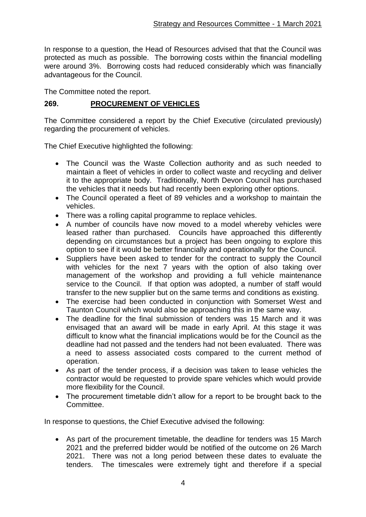In response to a question, the Head of Resources advised that that the Council was protected as much as possible. The borrowing costs within the financial modelling were around 3%. Borrowing costs had reduced considerably which was financially advantageous for the Council.

The Committee noted the report.

### **269. PROCUREMENT OF VEHICLES**

The Committee considered a report by the Chief Executive (circulated previously) regarding the procurement of vehicles.

The Chief Executive highlighted the following:

- The Council was the Waste Collection authority and as such needed to maintain a fleet of vehicles in order to collect waste and recycling and deliver it to the appropriate body. Traditionally, North Devon Council has purchased the vehicles that it needs but had recently been exploring other options.
- The Council operated a fleet of 89 vehicles and a workshop to maintain the vehicles.
- There was a rolling capital programme to replace vehicles.
- A number of councils have now moved to a model whereby vehicles were leased rather than purchased. Councils have approached this differently depending on circumstances but a project has been ongoing to explore this option to see if it would be better financially and operationally for the Council.
- Suppliers have been asked to tender for the contract to supply the Council with vehicles for the next 7 years with the option of also taking over management of the workshop and providing a full vehicle maintenance service to the Council. If that option was adopted, a number of staff would transfer to the new supplier but on the same terms and conditions as existing.
- The exercise had been conducted in conjunction with Somerset West and Taunton Council which would also be approaching this in the same way.
- The deadline for the final submission of tenders was 15 March and it was envisaged that an award will be made in early April. At this stage it was difficult to know what the financial implications would be for the Council as the deadline had not passed and the tenders had not been evaluated. There was a need to assess associated costs compared to the current method of operation.
- As part of the tender process, if a decision was taken to lease vehicles the contractor would be requested to provide spare vehicles which would provide more flexibility for the Council.
- The procurement timetable didn't allow for a report to be brought back to the Committee.

In response to questions, the Chief Executive advised the following:

 As part of the procurement timetable, the deadline for tenders was 15 March 2021 and the preferred bidder would be notified of the outcome on 26 March 2021. There was not a long period between these dates to evaluate the tenders. The timescales were extremely tight and therefore if a special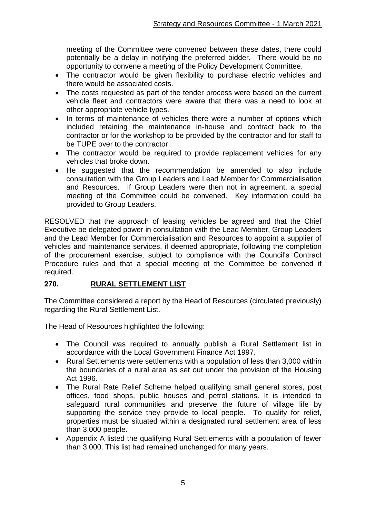meeting of the Committee were convened between these dates, there could potentially be a delay in notifying the preferred bidder. There would be no opportunity to convene a meeting of the Policy Development Committee.

- The contractor would be given flexibility to purchase electric vehicles and there would be associated costs.
- The costs requested as part of the tender process were based on the current vehicle fleet and contractors were aware that there was a need to look at other appropriate vehicle types.
- In terms of maintenance of vehicles there were a number of options which included retaining the maintenance in-house and contract back to the contractor or for the workshop to be provided by the contractor and for staff to be TUPE over to the contractor.
- The contractor would be required to provide replacement vehicles for any vehicles that broke down.
- He suggested that the recommendation be amended to also include consultation with the Group Leaders and Lead Member for Commercialisation and Resources. If Group Leaders were then not in agreement, a special meeting of the Committee could be convened. Key information could be provided to Group Leaders.

RESOLVED that the approach of leasing vehicles be agreed and that the Chief Executive be delegated power in consultation with the Lead Member, Group Leaders and the Lead Member for Commercialisation and Resources to appoint a supplier of vehicles and maintenance services, if deemed appropriate, following the completion of the procurement exercise, subject to compliance with the Council's Contract Procedure rules and that a special meeting of the Committee be convened if required.

#### **270. RURAL SETTLEMENT LIST**

The Committee considered a report by the Head of Resources (circulated previously) regarding the Rural Settlement List.

The Head of Resources highlighted the following:

- The Council was required to annually publish a Rural Settlement list in accordance with the Local Government Finance Act 1997.
- Rural Settlements were settlements with a population of less than 3,000 within the boundaries of a rural area as set out under the provision of the Housing Act 1996.
- The Rural Rate Relief Scheme helped qualifying small general stores, post offices, food shops, public houses and petrol stations. It is intended to safeguard rural communities and preserve the future of village life by supporting the service they provide to local people. To qualify for relief, properties must be situated within a designated rural settlement area of less than 3,000 people.
- Appendix A listed the qualifying Rural Settlements with a population of fewer than 3,000. This list had remained unchanged for many years.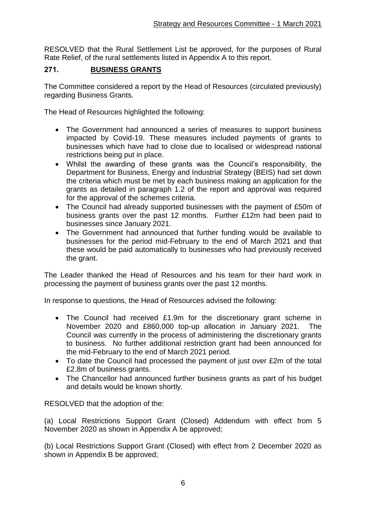RESOLVED that the Rural Settlement List be approved, for the purposes of Rural Rate Relief, of the rural settlements listed in Appendix A to this report.

### **271. BUSINESS GRANTS**

The Committee considered a report by the Head of Resources (circulated previously) regarding Business Grants.

The Head of Resources highlighted the following:

- The Government had announced a series of measures to support business impacted by Covid-19. These measures included payments of grants to businesses which have had to close due to localised or widespread national restrictions being put in place.
- Whilst the awarding of these grants was the Council's responsibility, the Department for Business, Energy and Industrial Strategy (BEIS) had set down the criteria which must be met by each business making an application for the grants as detailed in paragraph 1.2 of the report and approval was required for the approval of the schemes criteria.
- The Council had already supported businesses with the payment of £50m of business grants over the past 12 months. Further £12m had been paid to businesses since January 2021.
- The Government had announced that further funding would be available to businesses for the period mid-February to the end of March 2021 and that these would be paid automatically to businesses who had previously received the grant.

The Leader thanked the Head of Resources and his team for their hard work in processing the payment of business grants over the past 12 months.

In response to questions, the Head of Resources advised the following:

- The Council had received £1.9m for the discretionary grant scheme in November 2020 and £860,000 top-up allocation in January 2021. The Council was currently in the process of administering the discretionary grants to business. No further additional restriction grant had been announced for the mid-February to the end of March 2021 period.
- To date the Council had processed the payment of just over £2m of the total £2.8m of business grants.
- The Chancellor had announced further business grants as part of his budget and details would be known shortly.

RESOLVED that the adoption of the:

(a) Local Restrictions Support Grant (Closed) Addendum with effect from 5 November 2020 as shown in Appendix A be approved;

(b) Local Restrictions Support Grant (Closed) with effect from 2 December 2020 as shown in Appendix B be approved;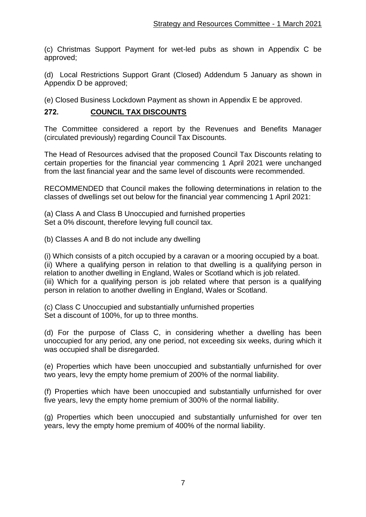(c) Christmas Support Payment for wet-led pubs as shown in Appendix C be approved;

(d) Local Restrictions Support Grant (Closed) Addendum 5 January as shown in Appendix D be approved;

(e) Closed Business Lockdown Payment as shown in Appendix E be approved.

### **272. COUNCIL TAX DISCOUNTS**

The Committee considered a report by the Revenues and Benefits Manager (circulated previously) regarding Council Tax Discounts.

The Head of Resources advised that the proposed Council Tax Discounts relating to certain properties for the financial year commencing 1 April 2021 were unchanged from the last financial year and the same level of discounts were recommended.

RECOMMENDED that Council makes the following determinations in relation to the classes of dwellings set out below for the financial year commencing 1 April 2021:

(a) Class A and Class B Unoccupied and furnished properties Set a 0% discount, therefore levying full council tax.

(b) Classes A and B do not include any dwelling

(i) Which consists of a pitch occupied by a caravan or a mooring occupied by a boat. (ii) Where a qualifying person in relation to that dwelling is a qualifying person in relation to another dwelling in England, Wales or Scotland which is job related. (iii) Which for a qualifying person is job related where that person is a qualifying person in relation to another dwelling in England, Wales or Scotland.

(c) Class C Unoccupied and substantially unfurnished properties Set a discount of 100%, for up to three months.

(d) For the purpose of Class C, in considering whether a dwelling has been unoccupied for any period, any one period, not exceeding six weeks, during which it was occupied shall be disregarded.

(e) Properties which have been unoccupied and substantially unfurnished for over two years, levy the empty home premium of 200% of the normal liability.

(f) Properties which have been unoccupied and substantially unfurnished for over five years, levy the empty home premium of 300% of the normal liability.

(g) Properties which been unoccupied and substantially unfurnished for over ten years, levy the empty home premium of 400% of the normal liability.